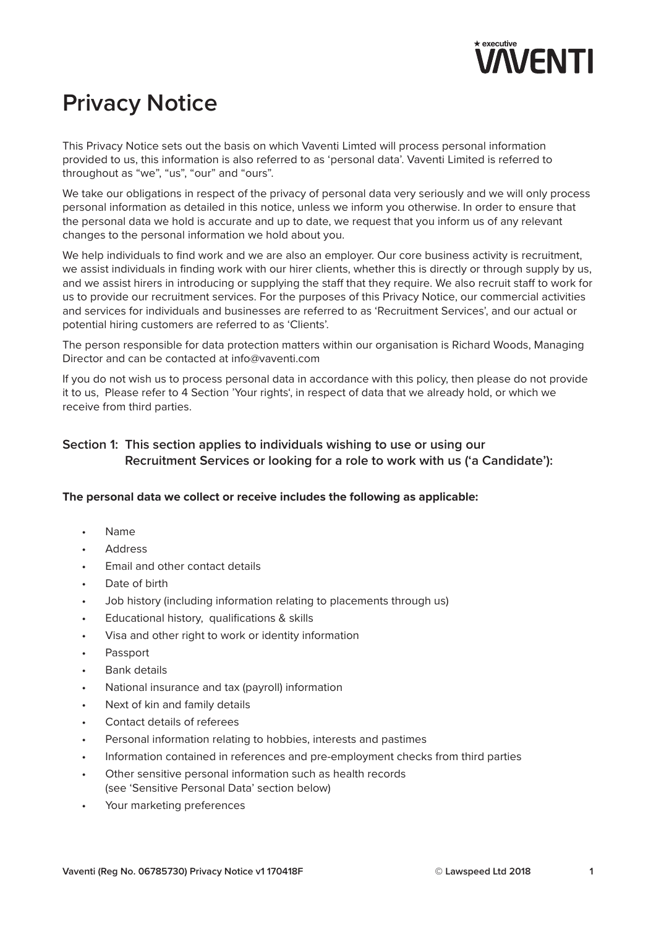

# **Privacy Notice**

This Privacy Notice sets out the basis on which Vaventi Limted will process personal information provided to us, this information is also referred to as 'personal data'. Vaventi Limited is referred to throughout as "we", "us", "our" and "ours".

We take our obligations in respect of the privacy of personal data very seriously and we will only process personal information as detailed in this notice, unless we inform you otherwise. In order to ensure that the personal data we hold is accurate and up to date, we request that you inform us of any relevant changes to the personal information we hold about you.

We help individuals to find work and we are also an employer. Our core business activity is recruitment, we assist individuals in finding work with our hirer clients, whether this is directly or through supply by us, and we assist hirers in introducing or supplying the staff that they require. We also recruit staff to work for us to provide our recruitment services. For the purposes of this Privacy Notice, our commercial activities and services for individuals and businesses are referred to as 'Recruitment Services', and our actual or potential hiring customers are referred to as 'Clients'.

The person responsible for data protection matters within our organisation is Richard Woods, Managing Director and can be contacted at info@vaventi.com

If you do not wish us to process personal data in accordance with this policy, then please do not provide it to us, Please refer to 4 Section 'Your rights', in respect of data that we already hold, or which we receive from third parties.

# **Section 1: This section applies to individuals wishing to use or using our Recruitment Services or looking for a role to work with us ('a Candidate'):**

#### **The personal data we collect or receive includes the following as applicable:**

- Name
- **Address**
- Email and other contact details
- Date of birth
- Job history (including information relating to placements through us)
- Educational history, qualifications & skills
- Visa and other right to work or identity information
- Passport
- Bank details
- National insurance and tax (payroll) information
- Next of kin and family details
- Contact details of referees
- Personal information relating to hobbies, interests and pastimes
- Information contained in references and pre-employment checks from third parties
- Other sensitive personal information such as health records (see 'Sensitive Personal Data' section below)
- Your marketing preferences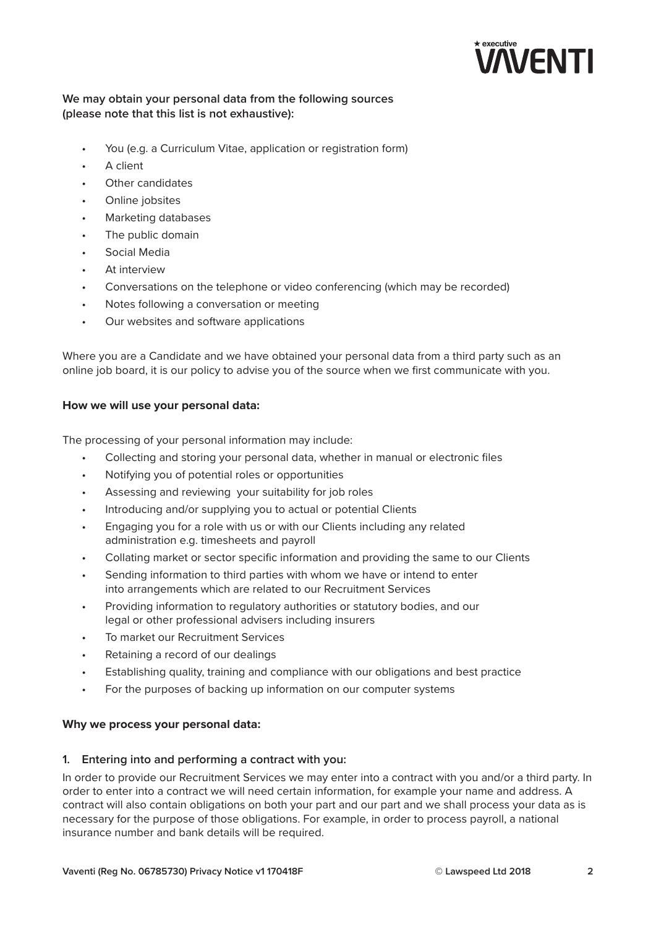

# **We may obtain your personal data from the following sources (please note that this list is not exhaustive):**

- You (e.g. a Curriculum Vitae, application or registration form)
- A client
- Other candidates
- Online jobsites
- Marketing databases
- The public domain
- Social Media
- At interview
- Conversations on the telephone or video conferencing (which may be recorded)
- Notes following a conversation or meeting
- Our websites and software applications

Where you are a Candidate and we have obtained your personal data from a third party such as an online job board, it is our policy to advise you of the source when we first communicate with you.

#### **How we will use your personal data:**

The processing of your personal information may include:

- Collecting and storing your personal data, whether in manual or electronic files
- Notifying you of potential roles or opportunities
- Assessing and reviewing your suitability for job roles
- Introducing and/or supplying you to actual or potential Clients
- Engaging you for a role with us or with our Clients including any related administration e.g. timesheets and payroll
- Collating market or sector specific information and providing the same to our Clients
- Sending information to third parties with whom we have or intend to enter into arrangements which are related to our Recruitment Services
- Providing information to regulatory authorities or statutory bodies, and our legal or other professional advisers including insurers
- To market our Recruitment Services
- Retaining a record of our dealings
- Establishing quality, training and compliance with our obligations and best practice
- For the purposes of backing up information on our computer systems

#### **Why we process your personal data:**

#### **1. Entering into and performing a contract with you:**

In order to provide our Recruitment Services we may enter into a contract with you and/or a third party. In order to enter into a contract we will need certain information, for example your name and address. A contract will also contain obligations on both your part and our part and we shall process your data as is necessary for the purpose of those obligations. For example, in order to process payroll, a national insurance number and bank details will be required.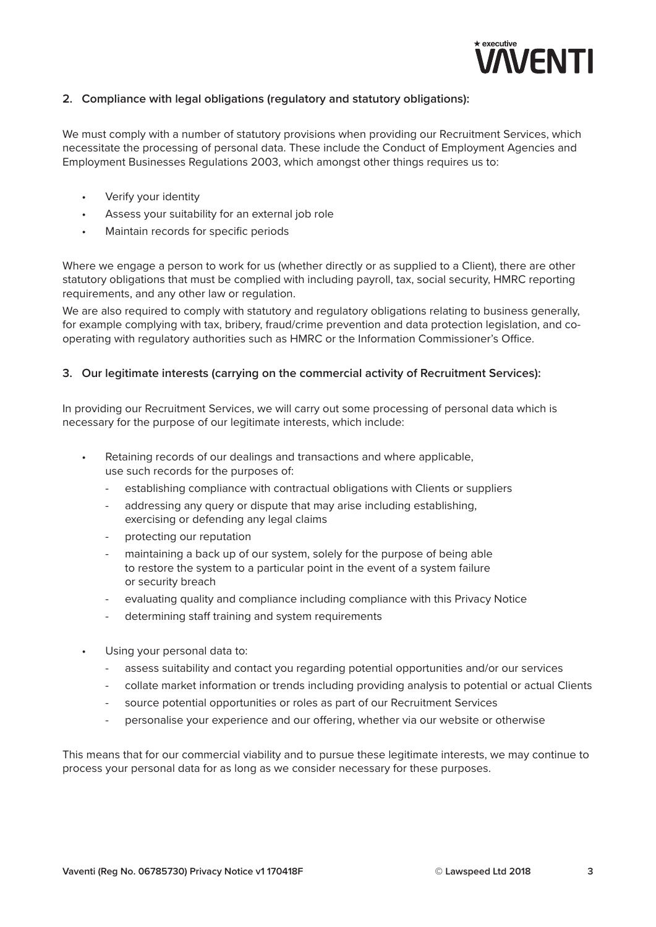

## **2. Compliance with legal obligations (regulatory and statutory obligations):**

We must comply with a number of statutory provisions when providing our Recruitment Services, which necessitate the processing of personal data. These include the Conduct of Employment Agencies and Employment Businesses Regulations 2003, which amongst other things requires us to:

- Verify your identity
- Assess your suitability for an external job role
- Maintain records for specific periods

Where we engage a person to work for us (whether directly or as supplied to a Client), there are other statutory obligations that must be complied with including payroll, tax, social security, HMRC reporting requirements, and any other law or regulation.

We are also required to comply with statutory and regulatory obligations relating to business generally, for example complying with tax, bribery, fraud/crime prevention and data protection legislation, and cooperating with regulatory authorities such as HMRC or the Information Commissioner's Office.

#### **3. Our legitimate interests (carrying on the commercial activity of Recruitment Services):**

In providing our Recruitment Services, we will carry out some processing of personal data which is necessary for the purpose of our legitimate interests, which include:

- Retaining records of our dealings and transactions and where applicable, use such records for the purposes of:
	- establishing compliance with contractual obligations with Clients or suppliers
	- addressing any query or dispute that may arise including establishing, exercising or defending any legal claims
	- protecting our reputation
	- maintaining a back up of our system, solely for the purpose of being able to restore the system to a particular point in the event of a system failure or security breach
	- evaluating quality and compliance including compliance with this Privacy Notice
	- determining staff training and system requirements
- Using your personal data to:
	- assess suitability and contact you regarding potential opportunities and/or our services
	- collate market information or trends including providing analysis to potential or actual Clients
	- source potential opportunities or roles as part of our Recruitment Services
	- personalise your experience and our offering, whether via our website or otherwise

This means that for our commercial viability and to pursue these legitimate interests, we may continue to process your personal data for as long as we consider necessary for these purposes.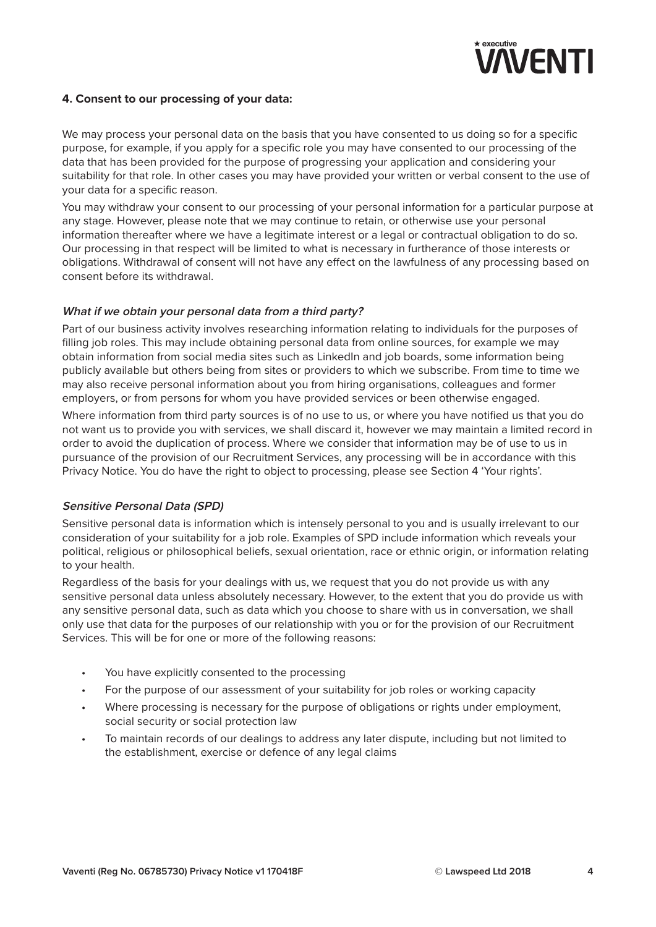

### **4. Consent to our processing of your data:**

We may process your personal data on the basis that you have consented to us doing so for a specific purpose, for example, if you apply for a specific role you may have consented to our processing of the data that has been provided for the purpose of progressing your application and considering your suitability for that role. In other cases you may have provided your written or verbal consent to the use of your data for a specific reason.

You may withdraw your consent to our processing of your personal information for a particular purpose at any stage. However, please note that we may continue to retain, or otherwise use your personal information thereafter where we have a legitimate interest or a legal or contractual obligation to do so. Our processing in that respect will be limited to what is necessary in furtherance of those interests or obligations. Withdrawal of consent will not have any effect on the lawfulness of any processing based on consent before its withdrawal.

#### **What if we obtain your personal data from <sup>a</sup> third party?**

Part of our business activity involves researching information relating to individuals for the purposes of filling job roles. This may include obtaining personal data from online sources, for example we may obtain information from social media sites such as LinkedIn and job boards, some information being publicly available but others being from sites or providers to which we subscribe. From time to time we may also receive personal information about you from hiring organisations, colleagues and former employers, or from persons for whom you have provided services or been otherwise engaged.

Where information from third party sources is of no use to us, or where you have notified us that you do not want us to provide you with services, we shall discard it, however we may maintain a limited record in order to avoid the duplication of process. Where we consider that information may be of use to us in pursuance of the provision of our Recruitment Services, any processing will be in accordance with this Privacy Notice. You do have the right to object to processing, please see Section 4 'Your rights'.

#### **Sensitive Personal Data (SPD)**

Sensitive personal data is information which is intensely personal to you and is usually irrelevant to our consideration of your suitability for a job role. Examples of SPD include information which reveals your political, religious or philosophical beliefs, sexual orientation, race or ethnic origin, or information relating to your health.

Regardless of the basis for your dealings with us, we request that you do not provide us with any sensitive personal data unless absolutely necessary. However, to the extent that you do provide us with any sensitive personal data, such as data which you choose to share with us in conversation, we shall only use that data for the purposes of our relationship with you or for the provision of our Recruitment Services. This will be for one or more of the following reasons:

- You have explicitly consented to the processing
- For the purpose of our assessment of your suitability for job roles or working capacity
- Where processing is necessary for the purpose of obligations or rights under employment, social security or social protection law
- To maintain records of our dealings to address any later dispute, including but not limited to the establishment, exercise or defence of any legal claims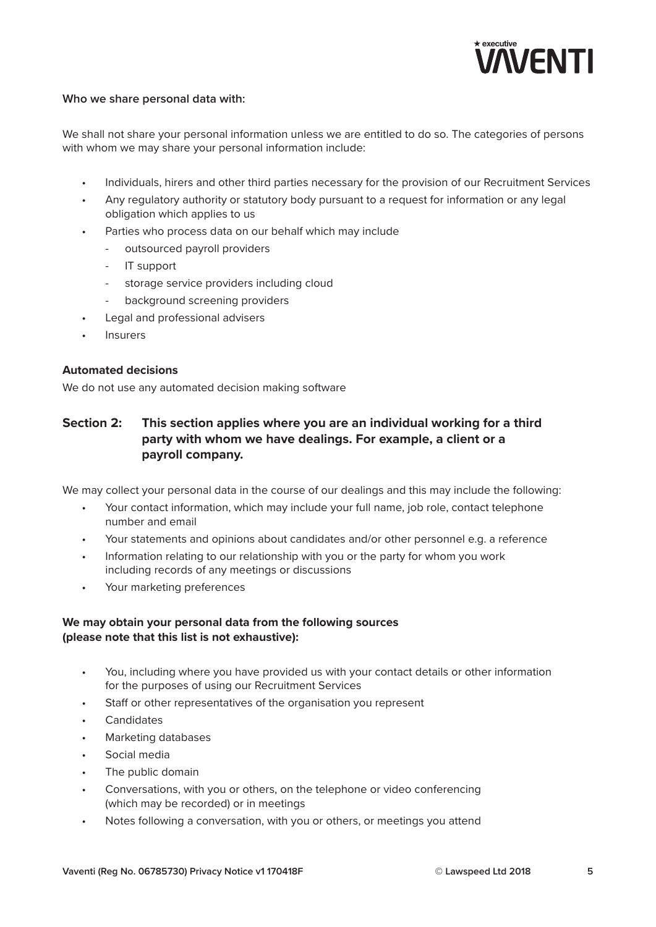

## **Who we share personal data with:**

We shall not share your personal information unless we are entitled to do so. The categories of persons with whom we may share your personal information include:

- Individuals, hirers and other third parties necessary for the provision of our Recruitment Services
- Any regulatory authority or statutory body pursuant to a request for information or any legal obligation which applies to us
- Parties who process data on our behalf which may include
	- outsourced payroll providers
	- IT support
	- storage service providers including cloud
	- background screening providers
- Legal and professional advisers
- **Insurers**

## **Automated decisions**

We do not use any automated decision making software

# **Section 2: This section applies where you are an individual working for a third party with whom we have dealings. For example, a client or a payroll company.**

We may collect your personal data in the course of our dealings and this may include the following:

- Your contact information, which may include your full name, job role, contact telephone number and email
- Your statements and opinions about candidates and/or other personnel e.g. a reference
- Information relating to our relationship with you or the party for whom you work including records of any meetings or discussions
- Your marketing preferences

## **We may obtain your personal data from the following sources (please note that this list is not exhaustive):**

- You, including where you have provided us with your contact details or other information for the purposes of using our Recruitment Services
- Staff or other representatives of the organisation you represent
- Candidates
- Marketing databases
- Social media
- The public domain
- Conversations, with you or others, on the telephone or video conferencing (which may be recorded) or in meetings
- Notes following a conversation, with you or others, or meetings you attend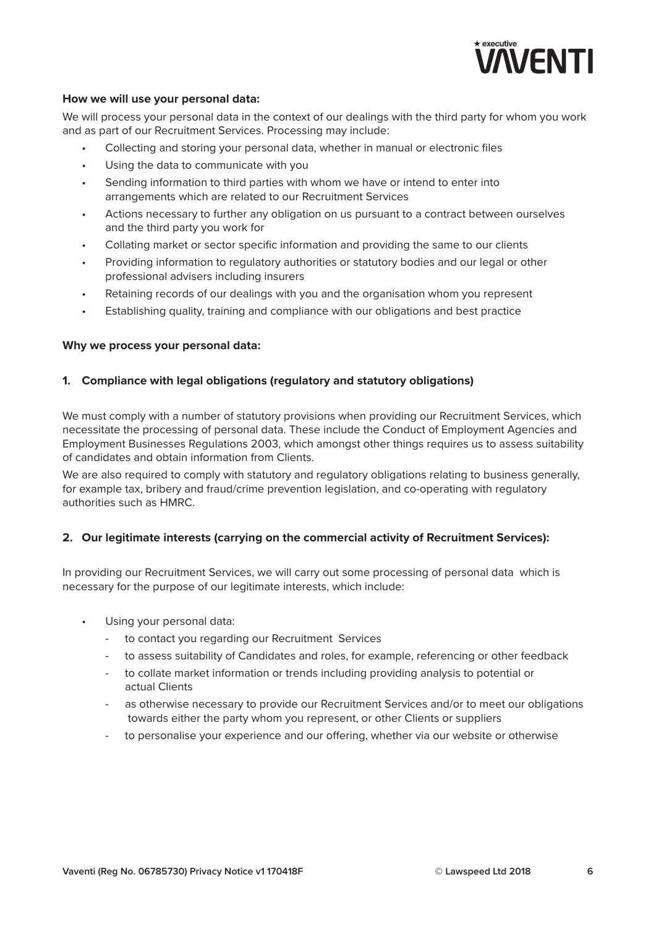

#### **How we will use your personal data:**

We will process your personal data in the context of our dealings with the third party for whom you work and as part of our Recruitment Services. Processing may include:

- Collecting and storing your personal data, whether in manual or electronic files
- Using the data to communicate with you
- Sending information to third parties with whom we have or intend to enter into arrangements which are related to our Recruitment Services
- Actions necessary to further any obligation on us pursuant to a contract between ourselves and the third party you work for
- Collating market or sector specific information and providing the same to our clients
- Providing information to regulatory authorities or statutory bodies and our legal or other professional advisers including insurers
- Retaining records of our dealings with you and the organisation whom you represent
- Establishing quality, training and compliance with our obligations and best practice

#### **Why we process your personal data:**

#### **1. Compliance with legal obligations (regulatory and statutory obligations)**

We must comply with a number of statutory provisions when providing our Recruitment Services, which necessitate the processing of personal data. These include the Conduct of Employment Agencies and Employment Businesses Regulations 2003, which amongst other things requires us to assess suitability of candidates and obtain information from Clients.

We are also required to comply with statutory and regulatory obligations relating to business generally, for example tax, bribery and fraud/crime prevention legislation, and co-operating with regulatory authorities such as HMRC.

#### **2. Our legitimate interests (carrying on the commercial activity of Recruitment Services):**

In providing our Recruitment Services, we will carry out some processing of personal data which is necessary for the purpose of our legitimate interests, which include:

- Using your personal data:
	- to contact you regarding our Recruitment Services
	- to assess suitability of Candidates and roles, for example, referencing or other feedback
	- to collate market information or trends including providing analysis to potential or actual Clients
	- as otherwise necessary to provide our Recruitment Services and/or to meet our obligations towards either the party whom you represent, or other Clients or suppliers
	- to personalise your experience and our offering, whether via our website or otherwise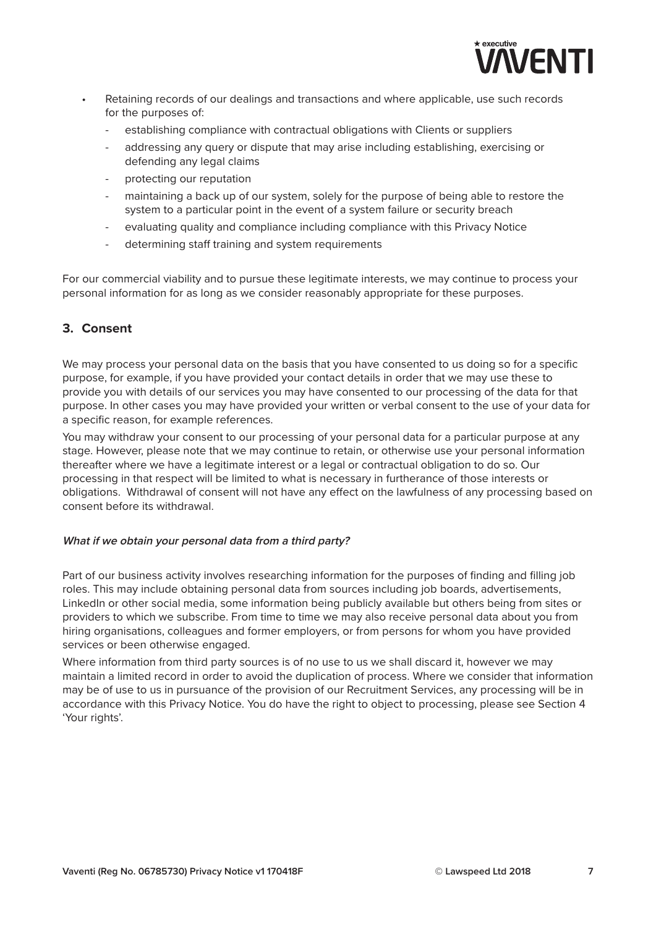

- Retaining records of our dealings and transactions and where applicable, use such records for the purposes of:
	- establishing compliance with contractual obligations with Clients or suppliers
	- addressing any query or dispute that may arise including establishing, exercising or defending any legal claims
	- protecting our reputation
	- maintaining a back up of our system, solely for the purpose of being able to restore the system to a particular point in the event of a system failure or security breach
	- evaluating quality and compliance including compliance with this Privacy Notice
	- determining staff training and system requirements

For our commercial viability and to pursue these legitimate interests, we may continue to process your personal information for as long as we consider reasonably appropriate for these purposes.

## **3. Consent**

We may process your personal data on the basis that you have consented to us doing so for a specific purpose, for example, if you have provided your contact details in order that we may use these to provide you with details of our services you may have consented to our processing of the data for that purpose. In other cases you may have provided your written or verbal consent to the use of your data for a specific reason, for example references.

You may withdraw your consent to our processing of your personal data for a particular purpose at any stage. However, please note that we may continue to retain, or otherwise use your personal information thereafter where we have a legitimate interest or a legal or contractual obligation to do so. Our processing in that respect will be limited to what is necessary in furtherance of those interests or obligations. Withdrawal of consent will not have any effect on the lawfulness of any processing based on consent before its withdrawal.

#### **What if we obtain your personal data from <sup>a</sup> third party?**

Part of our business activity involves researching information for the purposes of finding and filling job roles. This may include obtaining personal data from sources including job boards, advertisements, LinkedIn or other social media, some information being publicly available but others being from sites or providers to which we subscribe. From time to time we may also receive personal data about you from hiring organisations, colleagues and former employers, or from persons for whom you have provided services or been otherwise engaged.

Where information from third party sources is of no use to us we shall discard it, however we may maintain a limited record in order to avoid the duplication of process. Where we consider that information may be of use to us in pursuance of the provision of our Recruitment Services, any processing will be in accordance with this Privacy Notice. You do have the right to object to processing, please see Section 4 'Your rights'.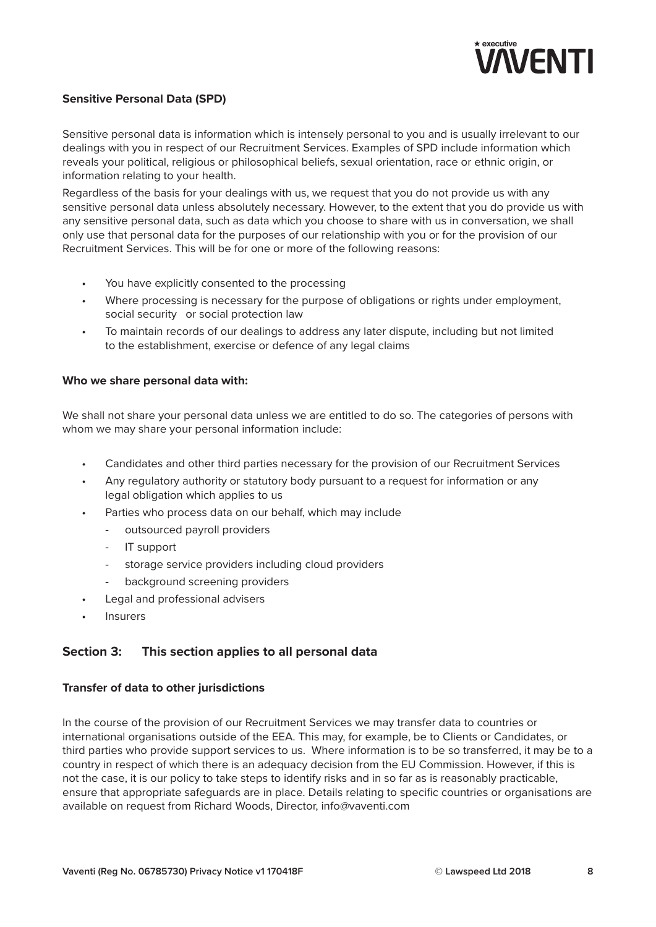

## **Sensitive Personal Data (SPD)**

Sensitive personal data is information which is intensely personal to you and is usually irrelevant to our dealings with you in respect of our Recruitment Services. Examples of SPD include information which reveals your political, religious or philosophical beliefs, sexual orientation, race or ethnic origin, or information relating to your health.

Regardless of the basis for your dealings with us, we request that you do not provide us with any sensitive personal data unless absolutely necessary. However, to the extent that you do provide us with any sensitive personal data, such as data which you choose to share with us in conversation, we shall only use that personal data for the purposes of our relationship with you or for the provision of our Recruitment Services. This will be for one or more of the following reasons:

- You have explicitly consented to the processing
- Where processing is necessary for the purpose of obligations or rights under employment, social security or social protection law
- To maintain records of our dealings to address any later dispute, including but not limited to the establishment, exercise or defence of any legal claims

#### **Who we share personal data with:**

We shall not share your personal data unless we are entitled to do so. The categories of persons with whom we may share your personal information include:

- Candidates and other third parties necessary for the provision of our Recruitment Services
- Any regulatory authority or statutory body pursuant to a request for information or any legal obligation which applies to us
- Parties who process data on our behalf, which may include
	- outsourced payroll providers
	- IT support
	- storage service providers including cloud providers
	- background screening providers
- Legal and professional advisers
- **Insurers**

# **Section 3: This section applies to all personal data**

#### **Transfer of data to other jurisdictions**

In the course of the provision of our Recruitment Services we may transfer data to countries or international organisations outside of the EEA. This may, for example, be to Clients or Candidates, or third parties who provide support services to us. Where information is to be so transferred, it may be to a country in respect of which there is an adequacy decision from the EU Commission. However, if this is not the case, it is our policy to take steps to identify risks and in so far as is reasonably practicable, ensure that appropriate safeguards are in place. Details relating to specific countries or organisations are available on request from Richard Woods, Director, info@vaventi.com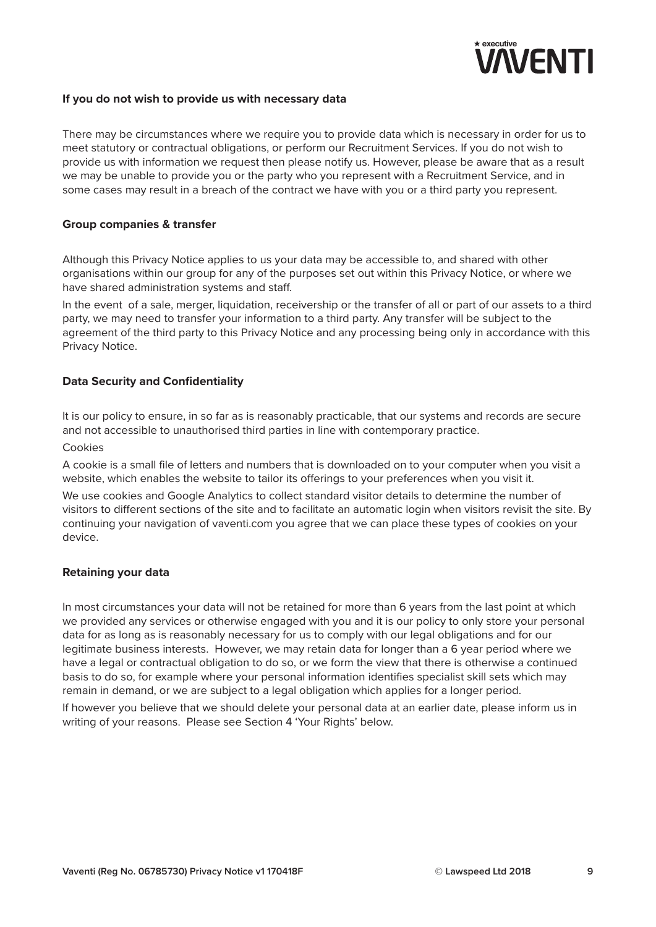

#### **If you do not wish to provide us with necessary data**

There may be circumstances where we require you to provide data which is necessary in order for us to meet statutory or contractual obligations, or perform our Recruitment Services. If you do not wish to provide us with information we request then please notify us. However, please be aware that as a result we may be unable to provide you or the party who you represent with a Recruitment Service, and in some cases may result in a breach of the contract we have with you or a third party you represent.

#### **Group companies & transfer**

Although this Privacy Notice applies to us your data may be accessible to, and shared with other organisations within our group for any of the purposes set out within this Privacy Notice, or where we have shared administration systems and staff.

In the event of a sale, merger, liquidation, receivership or the transfer of all or part of our assets to a third party, we may need to transfer your information to a third party. Any transfer will be subject to the agreement of the third party to this Privacy Notice and any processing being only in accordance with this Privacy Notice.

#### **Data Security and Confidentiality**

It is our policy to ensure, in so far as is reasonably practicable, that our systems and records are secure and not accessible to unauthorised third parties in line with contemporary practice.

#### Cookies

A cookie is a small file of letters and numbers that is downloaded on to your computer when you visit a website, which enables the website to tailor its offerings to your preferences when you visit it.

We use cookies and Google Analytics to collect standard visitor details to determine the number of visitors to different sections of the site and to facilitate an automatic login when visitors revisit the site. By continuing your navigation of vaventi.com you agree that we can place these types of cookies on your device.

#### **Retaining your data**

In most circumstances your data will not be retained for more than 6 years from the last point at which we provided any services or otherwise engaged with you and it is our policy to only store your personal data for as long as is reasonably necessary for us to comply with our legal obligations and for our legitimate business interests. However, we may retain data for longer than a 6 year period where we have a legal or contractual obligation to do so, or we form the view that there is otherwise a continued basis to do so, for example where your personal information identifies specialist skill sets which may remain in demand, or we are subject to a legal obligation which applies for a longer period.

If however you believe that we should delete your personal data at an earlier date, please inform us in writing of your reasons. Please see Section 4 'Your Rights' below.